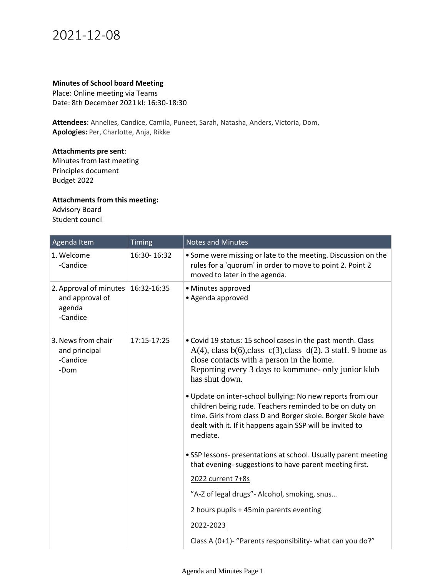## 2021-12-08

## **Minutes of School board Meeting**

Place: Online meeting via Teams Date: 8th December 2021 kl: 16:30-18:30

**Attendees**: Annelies, Candice, Camila, Puneet, Sarah, Natasha, Anders, Victoria, Dom, **Apologies:** Per, Charlotte, Anja, Rikke

## **Attachments pre sent**:

Minutes from last meeting Principles document Budget 2022

## **Attachments from this meeting:**

Advisory Board Student council

| Agenda Item                                                     | Timing      | <b>Notes and Minutes</b>                                                                                                                                                                                                                                       |
|-----------------------------------------------------------------|-------------|----------------------------------------------------------------------------------------------------------------------------------------------------------------------------------------------------------------------------------------------------------------|
| 1. Welcome<br>-Candice                                          | 16:30-16:32 | . Some were missing or late to the meeting. Discussion on the<br>rules for a 'quorum' in order to move to point 2. Point 2<br>moved to later in the agenda.                                                                                                    |
| 2. Approval of minutes<br>and approval of<br>agenda<br>-Candice | 16:32-16:35 | • Minutes approved<br>· Agenda approved                                                                                                                                                                                                                        |
| 3. News from chair<br>and principal<br>-Candice<br>-Dom         | 17:15-17:25 | . Covid 19 status: 15 school cases in the past month. Class<br>$A(4)$ , class b(6), class c(3), class d(2). 3 staff. 9 home as<br>close contacts with a person in the home.<br>Reporting every 3 days to kommune- only junior klub<br>has shut down.           |
|                                                                 |             | . Update on inter-school bullying: No new reports from our<br>children being rude. Teachers reminded to be on duty on<br>time. Girls from class D and Borger skole. Borger Skole have<br>dealt with it. If it happens again SSP will be invited to<br>mediate. |
|                                                                 |             | • SSP lessons- presentations at school. Usually parent meeting<br>that evening-suggestions to have parent meeting first.                                                                                                                                       |
|                                                                 |             | 2022 current 7+8s                                                                                                                                                                                                                                              |
|                                                                 |             | "A-Z of legal drugs"- Alcohol, smoking, snus                                                                                                                                                                                                                   |
|                                                                 |             | 2 hours pupils + 45min parents eventing                                                                                                                                                                                                                        |
|                                                                 |             | 2022-2023                                                                                                                                                                                                                                                      |
|                                                                 |             | Class A (0+1)- "Parents responsibility- what can you do?"                                                                                                                                                                                                      |